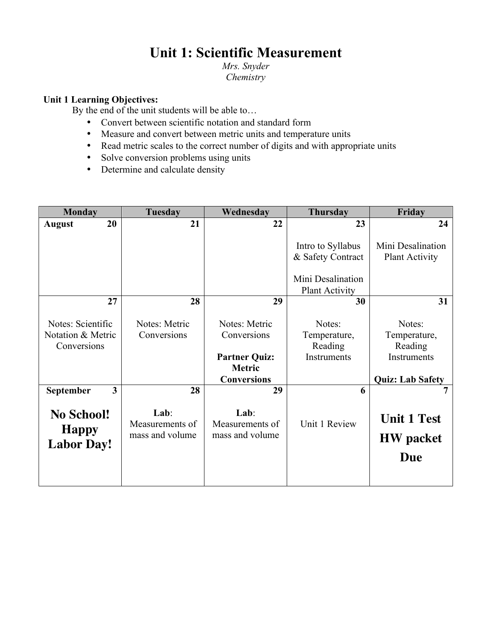# **Unit 1: Scientific Measurement**

*Mrs. Snyder Chemistry*

# **Unit 1 Learning Objectives:**

By the end of the unit students will be able to…

- Convert between scientific notation and standard form
- Measure and convert between metric units and temperature units
- Read metric scales to the correct number of digits and with appropriate units
- Solve conversion problems using units
- Determine and calculate density

| <b>Monday</b>                                          | <b>Tuesday</b>                             | Wednesday                                                                                   | <b>Thursday</b>                                                                      | Friday                                                                      |
|--------------------------------------------------------|--------------------------------------------|---------------------------------------------------------------------------------------------|--------------------------------------------------------------------------------------|-----------------------------------------------------------------------------|
| 20<br><b>August</b>                                    | 21                                         | 22                                                                                          | 23                                                                                   | 24                                                                          |
|                                                        |                                            |                                                                                             | Intro to Syllabus<br>& Safety Contract<br>Mini Desalination<br><b>Plant Activity</b> | Mini Desalination<br><b>Plant Activity</b>                                  |
| 27                                                     | 28                                         | 29                                                                                          | 30                                                                                   | 31                                                                          |
| Notes: Scientific<br>Notation & Metric<br>Conversions  | Notes: Metric<br>Conversions               | Notes: Metric<br>Conversions<br><b>Partner Quiz:</b><br><b>Metric</b><br><b>Conversions</b> | Notes:<br>Temperature,<br>Reading<br>Instruments                                     | Notes:<br>Temperature,<br>Reading<br>Instruments<br><b>Quiz: Lab Safety</b> |
| 3<br>September                                         | 28                                         | 29                                                                                          | 6                                                                                    |                                                                             |
| <b>No School!</b><br><b>Happy</b><br><b>Labor Day!</b> | Lab:<br>Measurements of<br>mass and volume | Lab:<br>Measurements of<br>mass and volume                                                  | Unit 1 Review                                                                        | <b>Unit 1 Test</b><br><b>HW</b> packet<br><b>Due</b>                        |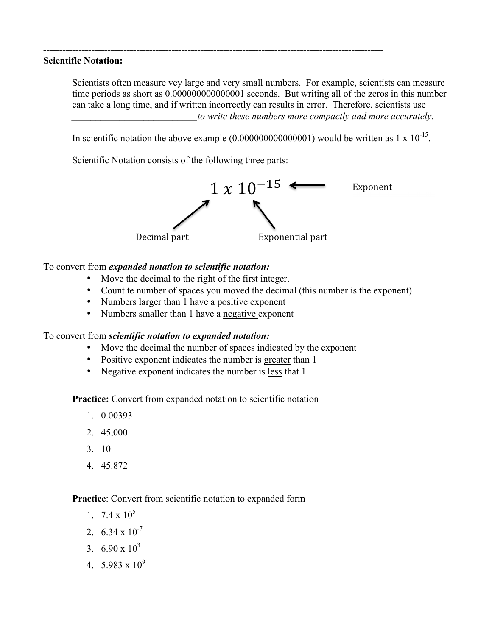#### **Scientific Notation:**

Scientists often measure vey large and very small numbers. For example, scientists can measure time periods as short as 0.000000000000001 seconds. But writing all of the zeros in this number can take a long time, and if written incorrectly can results in error. Therefore, scientists use *\_\_\_\_\_\_\_\_\_\_\_\_\_\_\_\_\_\_\_\_\_\_\_\_\_\_to write these numbers more compactly and more accurately.*

In scientific notation the above example  $(0.000000000000001)$  would be written as 1 x  $10^{-15}$ .

Scientific Notation consists of the following three parts:

**----------------------------------------------------------------------------------------------------------**



### To convert from *expanded notation to scientific notation:*

- Move the decimal to the right of the first integer.
- Count te number of spaces you moved the decimal (this number is the exponent)
- Numbers larger than 1 have a positive exponent
- Numbers smaller than 1 have a negative exponent

#### To convert from *scientific notation to expanded notation:*

- Move the decimal the number of spaces indicated by the exponent
- Positive exponent indicates the number is greater than 1
- Negative exponent indicates the number is less that 1

**Practice:** Convert from expanded notation to scientific notation

- 1. 0.00393
- 2. 45,000
- 3. 10
- 4. 45.872

# **Practice**: Convert from scientific notation to expanded form

- 1.  $7.4 \times 10^5$
- 2  $6.34 \times 10^{-7}$
- 3.  $6.90 \times 10^3$
- 4.  $5.983 \times 10^9$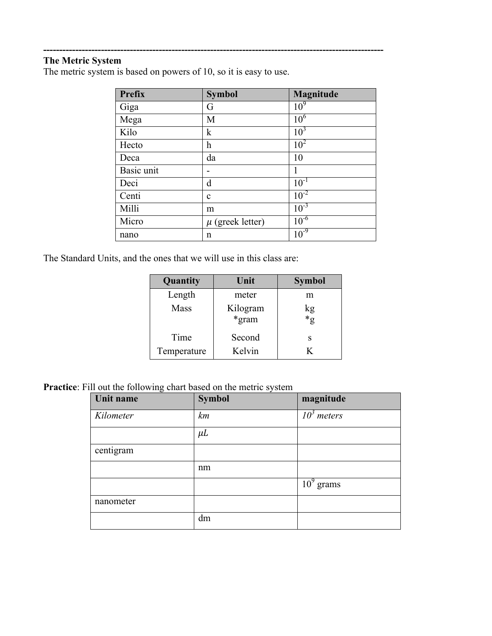# **The Metric System**

The metric system is based on powers of 10, so it is easy to use.

**----------------------------------------------------------------------------------------------------------**

| Prefix     | <b>Symbol</b>             | Magnitude       |
|------------|---------------------------|-----------------|
| Giga       | G                         | 10 <sup>9</sup> |
| Mega       | M                         | $10^6$          |
| Kilo       | $\mathbf k$               | $10^3$          |
| Hecto      | $\boldsymbol{\mathrm{h}}$ | $10^{2}$        |
| Deca       | da                        | 10              |
| Basic unit | -                         | 1               |
| Deci       | d                         | $10^{-1}$       |
| Centi      | c                         | $10^{-2}$       |
| Milli      | m                         | $10^{-3}$       |
| Micro      | $\mu$ (greek letter)      | $10^{-6}$       |
| nano       | n                         | $10^{-9}$       |

The Standard Units, and the ones that we will use in this class are:

| Quantity    | Unit              | <b>Symbol</b> |  |
|-------------|-------------------|---------------|--|
| Length      | meter             | m             |  |
| Mass        | Kilogram<br>*gram | kg<br>*g      |  |
| Time        | Second            | S             |  |
| Temperature | Kelvin            | K             |  |

**Practice**: Fill out the following chart based on the metric system

| ັ<br>Unit name | <b>Symbol</b> | magnitude                |
|----------------|---------------|--------------------------|
| Kilometer      | km            | $\overline{10}^3$ meters |
|                | $\mu$ L       |                          |
| centigram      |               |                          |
|                | nm            |                          |
|                |               | $109$ grams              |
| nanometer      |               |                          |
|                | dm            |                          |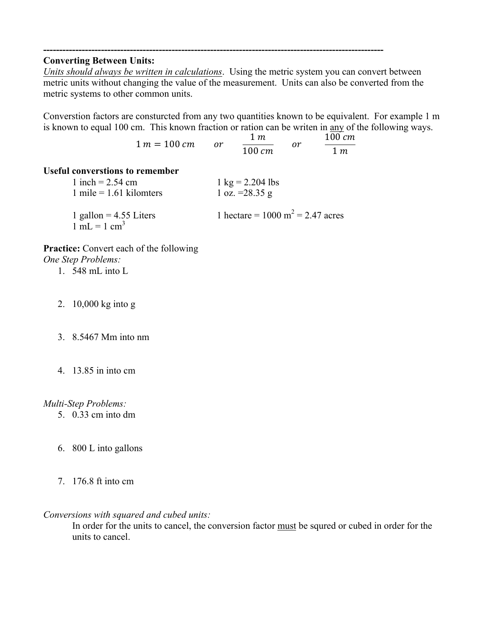#### **Converting Between Units:**

*Units should always be written in calculations*. Using the metric system you can convert between metric units without changing the value of the measurement. Units can also be converted from the metric systems to other common units.

**----------------------------------------------------------------------------------------------------------**

Converstion factors are consturcted from any two quantities known to be equivalent. For example 1 m is known to equal 100 cm. This known fraction or ration can be writen in any of the following ways.

 $1 m = 100 cm$  or  $1<sub>m</sub>$  $\overline{100 \text{ cm}}$  $\overline{or}$ 100 cm  $1<sub>m</sub>$ **Useful converstions to remember**  $1 \text{ inch} = 2.54 \text{ cm}$   $1 \text{ kg} = 2.204 \text{ lbs}$ 1 mile = 1.61 kilomters 1 oz. =28.35 g 1 gallon = 4.55 Liters 1 hectare =  $1000 \text{ m}^2$  = 2.47 acres  $1 \text{ mL} = 1 \text{ cm}^3$ 

**Practice:** Convert each of the following *One Step Problems:*

1. 548 mL into L

- 2. 10,000 kg into g
- 3. 8.5467 Mm into nm
- 4. 13.85 in into cm

#### *Multi-Step Problems:*

- 5. 0.33 cm into dm
- 6. 800 L into gallons
- 7. 176.8 ft into cm

#### *Conversions with squared and cubed units:*

In order for the units to cancel, the conversion factor must be squred or cubed in order for the units to cancel.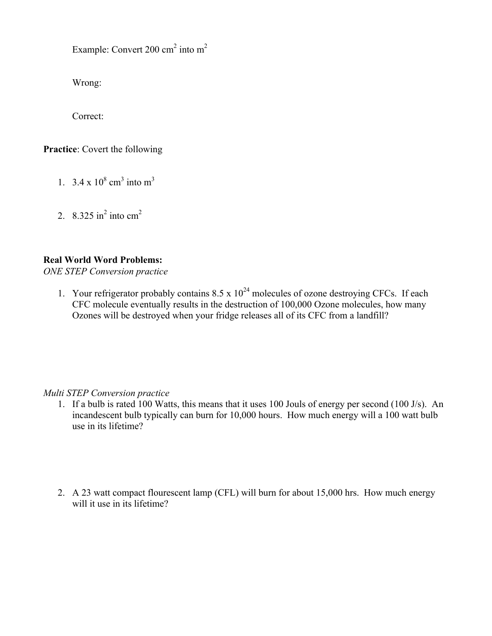Example: Convert 200 cm<sup>2</sup> into m<sup>2</sup>

Wrong:

Correct:

**Practice**: Covert the following

- 1. 3.4 x  $10^8$  cm<sup>3</sup> into m<sup>3</sup>
- 2. 8.325 in<sup>2</sup> into  $cm<sup>2</sup>$

# **Real World Word Problems:**

*ONE STEP Conversion practice* 

1. Your refrigerator probably contains  $8.5 \times 10^{24}$  molecules of ozone destroying CFCs. If each CFC molecule eventually results in the destruction of 100,000 Ozone molecules, how many Ozones will be destroyed when your fridge releases all of its CFC from a landfill?

# *Multi STEP Conversion practice*

- 1. If a bulb is rated 100 Watts, this means that it uses 100 Jouls of energy per second (100 J/s). An incandescent bulb typically can burn for 10,000 hours. How much energy will a 100 watt bulb use in its lifetime?
- 2. A 23 watt compact flourescent lamp (CFL) will burn for about 15,000 hrs. How much energy will it use in its lifetime?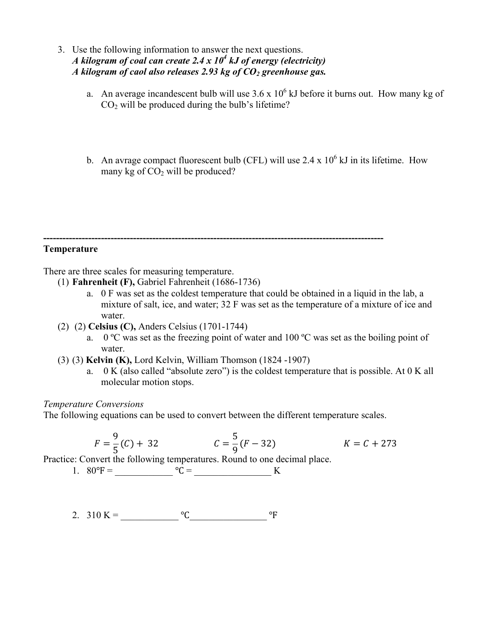- 3. Use the following information to answer the next questions. *A kilogram of coal can create 2.4 x 10<sup>4</sup> kJ of energy (electricity) A kilogram of caol also releases 2.93 kg of CO2 greenhouse gas.*
	- a. An average incandescent bulb will use  $3.6 \times 10^6$  kJ before it burns out. How many kg of  $CO<sub>2</sub>$  will be produced during the bulb's lifetime?
	- b. An avrage compact fluorescent bulb (CFL) will use 2.4 x  $10^6$  kJ in its lifetime. How many kg of  $CO<sub>2</sub>$  will be produced?

**---------------------------------------------------------------------------------------------------------- Temperature**

There are three scales for measuring temperature.

- (1) **Fahrenheit (F),** Gabriel Fahrenheit (1686-1736)
	- a. 0 F was set as the coldest temperature that could be obtained in a liquid in the lab, a mixture of salt, ice, and water; 32 F was set as the temperature of a mixture of ice and water
- (2) (2) **Celsius (C),** Anders Celsius (1701-1744)
	- a. 0  $\degree$ C was set as the freezing point of water and 100  $\degree$ C was set as the boiling point of water.
- (3) (3) **Kelvin (K),** Lord Kelvin, William Thomson (1824 -1907)
	- a. 0 K (also called "absolute zero") is the coldest temperature that is possible. At 0 K all molecular motion stops.

#### *Temperature Conversions*

The following equations can be used to convert between the different temperature scales.

$$
F = \frac{9}{5}(C) + 32 \qquad \qquad C = \frac{5}{9}(F - 32) \qquad \qquad K = C + 273
$$

Practice: Convert the following temperatures. Round to one decimal place.

- 1. 80℉ = \_\_\_\_\_\_\_\_\_\_\_\_ ℃ = \_\_\_\_\_\_\_\_\_\_\_\_\_\_\_\_ K
- 2.  $310 \text{ K} =$   $\text{C}$   $\text{C}$   $\text{C}$   $\text{C}$